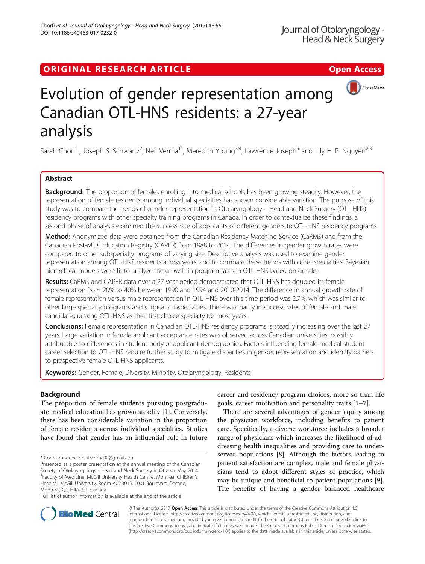# ORIGINAL RESEARCH ARTICLE **External of the Contract Contract Contract Contract Contract Contract Contract Contract Contract Contract Contract Contract Contract Contract Contract Contract Contract Contract Contract Contract**



# Evolution of gender representation among Canadian OTL-HNS residents: a 27-year analysis

Sarah Chorfi<sup>1</sup>, Joseph S. Schwartz<sup>2</sup>, Neil Verma<sup>1\*</sup>, Meredith Young<sup>3,4</sup>, Lawrence Joseph<sup>5</sup> and Lily H. P. Nguyen<sup>2,3</sup>

# Abstract

Background: The proportion of females enrolling into medical schools has been growing steadily. However, the representation of female residents among individual specialties has shown considerable variation. The purpose of this study was to compare the trends of gender representation in Otolaryngology – Head and Neck Surgery (OTL-HNS) residency programs with other specialty training programs in Canada. In order to contextualize these findings, a second phase of analysis examined the success rate of applicants of different genders to OTL-HNS residency programs.

Method: Anonymized data were obtained from the Canadian Residency Matching Service (CaRMS) and from the Canadian Post-M.D. Education Registry (CAPER) from 1988 to 2014. The differences in gender growth rates were compared to other subspecialty programs of varying size. Descriptive analysis was used to examine gender representation among OTL-HNS residents across years, and to compare these trends with other specialties. Bayesian hierarchical models were fit to analyze the growth in program rates in OTL-HNS based on gender.

Results: CaRMS and CAPER data over a 27 year period demonstrated that OTL-HNS has doubled its female representation from 20% to 40% between 1990 and 1994 and 2010-2014. The difference in annual growth rate of female representation versus male representation in OTL-HNS over this time period was 2.7%, which was similar to other large specialty programs and surgical subspecialties. There was parity in success rates of female and male candidates ranking OTL-HNS as their first choice specialty for most years.

Conclusions: Female representation in Canadian OTL-HNS residency programs is steadily increasing over the last 27 years. Large variation in female applicant acceptance rates was observed across Canadian universities, possibly attributable to differences in student body or applicant demographics. Factors influencing female medical student career selection to OTL-HNS require further study to mitigate disparities in gender representation and identify barriers to prospective female OTL-HNS applicants.

Keywords: Gender, Female, Diversity, Minority, Otolaryngology, Residents

# Background

The proportion of female students pursuing postgraduate medical education has grown steadily [\[1](#page-7-0)]. Conversely, there has been considerable variation in the proportion of female residents across individual specialties. Studies have found that gender has an influential role in future

Full list of author information is available at the end of the article

career and residency program choices, more so than life goals, career motivation and personality traits [\[1](#page-7-0)–[7\]](#page-7-0).

There are several advantages of gender equity among the physician workforce, including benefits to patient care. Specifically, a diverse workforce includes a broader range of physicians which increases the likelihood of addressing health inequalities and providing care to underserved populations [[8\]](#page-7-0). Although the factors leading to patient satisfaction are complex, male and female physicians tend to adopt different styles of practice, which may be unique and beneficial to patient populations [\[9](#page-7-0)]. The benefits of having a gender balanced healthcare



© The Author(s). 2017 **Open Access** This article is distributed under the terms of the Creative Commons Attribution 4.0 International License [\(http://creativecommons.org/licenses/by/4.0/](http://creativecommons.org/licenses/by/4.0/)), which permits unrestricted use, distribution, and reproduction in any medium, provided you give appropriate credit to the original author(s) and the source, provide a link to the Creative Commons license, and indicate if changes were made. The Creative Commons Public Domain Dedication waiver [\(http://creativecommons.org/publicdomain/zero/1.0/](http://creativecommons.org/publicdomain/zero/1.0/)) applies to the data made available in this article, unless otherwise stated.

<sup>\*</sup> Correspondence: [neil.verma90@gmail.com](mailto:neil.verma90@gmail.com)

Presented as a poster presentation at the annual meeting of the Canadian Society of Otolaryngology - Head and Neck Surgery in Ottawa, May 2014 <sup>1</sup> Faculty of Medicine, McGill University Health Centre, Montreal Children's Hospital, McGill University, Room A02.3015, 1001 Boulevard Decarie, Montreal, QC H4A 3J1, Canada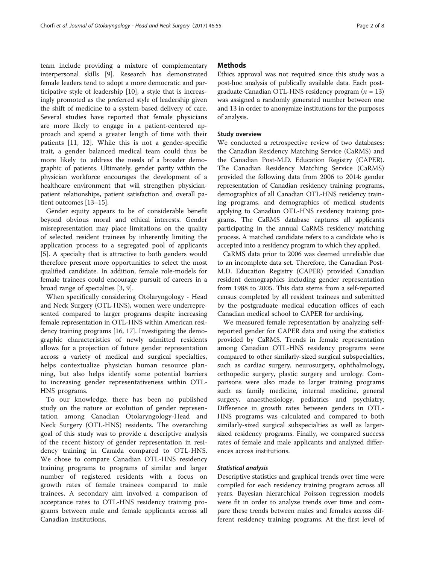team include providing a mixture of complementary interpersonal skills [[9\]](#page-7-0). Research has demonstrated female leaders tend to adopt a more democratic and participative style of leadership [\[10](#page-7-0)], a style that is increasingly promoted as the preferred style of leadership given the shift of medicine to a system-based delivery of care. Several studies have reported that female physicians are more likely to engage in a patient-centered approach and spend a greater length of time with their patients [\[11](#page-7-0), [12\]](#page-7-0). While this is not a gender-specific trait, a gender balanced medical team could thus be more likely to address the needs of a broader demographic of patients. Ultimately, gender parity within the physician workforce encourages the development of a healthcare environment that will strengthen physicianpatient relationships, patient satisfaction and overall patient outcomes [\[13](#page-7-0)–[15](#page-7-0)].

Gender equity appears to be of considerable benefit beyond obvious moral and ethical interests. Gender misrepresentation may place limitations on the quality of selected resident trainees by inherently limiting the application process to a segregated pool of applicants [[5\]](#page-7-0). A specialty that is attractive to both genders would therefore present more opportunities to select the most qualified candidate. In addition, female role-models for female trainees could encourage pursuit of careers in a broad range of specialties [\[3, 9\]](#page-7-0).

When specifically considering Otolaryngology - Head and Neck Surgery (OTL-HNS), women were underrepresented compared to larger programs despite increasing female representation in OTL-HNS within American residency training programs [[16](#page-7-0), [17](#page-7-0)]. Investigating the demographic characteristics of newly admitted residents allows for a projection of future gender representation across a variety of medical and surgical specialties, helps contextualize physician human resource planning, but also helps identify some potential barriers to increasing gender representativeness within OTL-HNS programs.

To our knowledge, there has been no published study on the nature or evolution of gender representation among Canadian Otolaryngology-Head and Neck Surgery (OTL-HNS) residents. The overarching goal of this study was to provide a descriptive analysis of the recent history of gender representation in residency training in Canada compared to OTL-HNS. We chose to compare Canadian OTL-HNS residency training programs to programs of similar and larger number of registered residents with a focus on growth rates of female trainees compared to male trainees. A secondary aim involved a comparison of acceptance rates to OTL-HNS residency training programs between male and female applicants across all Canadian institutions.

# **Methods**

Ethics approval was not required since this study was a post-hoc analysis of publically available data. Each postgraduate Canadian OTL-HNS residency program  $(n = 13)$ was assigned a randomly generated number between one and 13 in order to anonymize institutions for the purposes of analysis.

## Study overview

We conducted a retrospective review of two databases: the Canadian Residency Matching Service (CaRMS) and the Canadian Post-M.D. Education Registry (CAPER). The Canadian Residency Matching Service (CaRMS) provided the following data from 2006 to 2014: gender representation of Canadian residency training programs, demographics of all Canadian OTL-HNS residency training programs, and demographics of medical students applying to Canadian OTL-HNS residency training programs. The CaRMS database captures all applicants participating in the annual CaRMS residency matching process. A matched candidate refers to a candidate who is accepted into a residency program to which they applied.

CaRMS data prior to 2006 was deemed unreliable due to an incomplete data set. Therefore, the Canadian Post-M.D. Education Registry (CAPER) provided Canadian resident demographics including gender representation from 1988 to 2005. This data stems from a self-reported census completed by all resident trainees and submitted by the postgraduate medical education offices of each Canadian medical school to CAPER for archiving.

We measured female representation by analyzing selfreported gender for CAPER data and using the statistics provided by CaRMS. Trends in female representation among Canadian OTL-HNS residency programs were compared to other similarly-sized surgical subspecialties, such as cardiac surgery, neurosurgery, ophthalmology, orthopedic surgery, plastic surgery and urology. Comparisons were also made to larger training programs such as family medicine, internal medicine, general surgery, anaesthesiology, pediatrics and psychiatry. Difference in growth rates between genders in OTL-HNS programs was calculated and compared to both similarly-sized surgical subspecialties as well as largersized residency programs. Finally, we compared success rates of female and male applicants and analyzed differences across institutions.

## Statistical analysis

Descriptive statistics and graphical trends over time were compiled for each residency training program across all years. Bayesian hierarchical Poisson regression models were fit in order to analyze trends over time and compare these trends between males and females across different residency training programs. At the first level of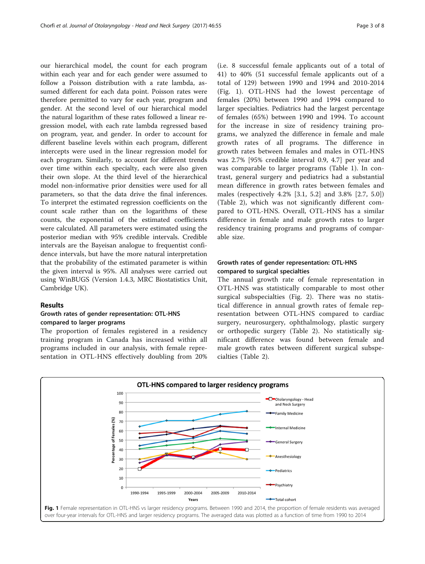our hierarchical model, the count for each program within each year and for each gender were assumed to follow a Poisson distribution with a rate lambda, assumed different for each data point. Poisson rates were therefore permitted to vary for each year, program and gender. At the second level of our hierarchical model the natural logarithm of these rates followed a linear regression model, with each rate lambda regressed based on program, year, and gender. In order to account for different baseline levels within each program, different intercepts were used in the linear regression model for each program. Similarly, to account for different trends over time within each specialty, each were also given their own slope. At the third level of the hierarchical model non-informative prior densities were used for all parameters, so that the data drive the final inferences. To interpret the estimated regression coefficients on the count scale rather than on the logarithms of these counts, the exponential of the estimated coefficients were calculated. All parameters were estimated using the posterior median with 95% credible intervals. Credible intervals are the Bayeisan analogue to frequentist confidence intervals, but have the more natural interpretation that the probability of the estimated parameter is within the given interval is 95%. All analyses were carried out using WinBUGS (Version 1.4.3, MRC Biostatistics Unit, Cambridge UK).

# Results

# Growth rates of gender representation: OTL-HNS compared to larger programs

The proportion of females registered in a residency training program in Canada has increased within all programs included in our analysis, with female representation in OTL-HNS effectively doubling from 20%

(i.e. 8 successful female applicants out of a total of 41) to 40% (51 successful female applicants out of a total of 129) between 1990 and 1994 and 2010-2014 (Fig. 1). OTL-HNS had the lowest percentage of females (20%) between 1990 and 1994 compared to larger specialties. Pediatrics had the largest percentage of females (65%) between 1990 and 1994. To account for the increase in size of residency training programs, we analyzed the difference in female and male growth rates of all programs. The difference in growth rates between females and males in OTL-HNS was 2.7% [95% credible interval 0.9, 4.7] per year and was comparable to larger programs (Table [1\)](#page-3-0). In contrast, general surgery and pediatrics had a substantial mean difference in growth rates between females and males (respectively 4.2% [3.1, 5.2] and 3.8% [2.7, 5.0]) (Table [2\)](#page-3-0), which was not significantly different compared to OTL-HNS. Overall, OTL-HNS has a similar difference in female and male growth rates to larger residency training programs and programs of comparable size.

# Growth rates of gender representation: OTL-HNS compared to surgical specialties

The annual growth rate of female representation in OTL-HNS was statistically comparable to most other surgical subspecialties (Fig. [2](#page-4-0)). There was no statistical difference in annual growth rates of female representation between OTL-HNS compared to cardiac surgery, neurosurgery, ophthalmology, plastic surgery or orthopedic surgery (Table [2\)](#page-3-0). No statistically significant difference was found between female and male growth rates between different surgical subspecialties (Table [2\)](#page-3-0).

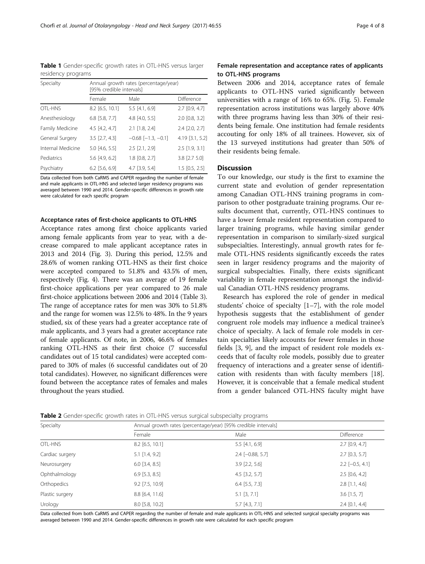<span id="page-3-0"></span>Table 1 Gender-specific growth rates in OTL-HNS versus larger residency programs

| Specialty         | Annual growth rates (percentage/year)<br>[95% credible intervals] |                          |                         |  |
|-------------------|-------------------------------------------------------------------|--------------------------|-------------------------|--|
|                   | Female                                                            | Male                     | Difference              |  |
| OTL-HNS           | $8.2$ [6.5, 10.1]                                                 | $5.5$ [4.1, 6.9]         | $2.7$ [0.9, 4.7]        |  |
| Anesthesiology    | $6.8$ [5.8, 7.7]                                                  | 4.8 $[4.0, 5.5]$         | $2.0$ [0.8, 3.2]        |  |
| Family Medicine   | $4.5$ [4.2, 4.7]                                                  | $2.1$ [1.8, 2.4]         | $2.4$ [ $2.0$ , $2.7$ ] |  |
| General Surgery   | $3.5$ $[2.7, 4.3]$                                                | $-0.68$ [ $-1.3, -0.1$ ] | 4.19 [3.1, 5.2]         |  |
| Internal Medicine | $5.0$ [4.6, 5.5]                                                  | $2.5$ $[2.1, 2.9]$       | $2.5$ [1.9, 3.1]        |  |
| Pediatrics        | 5.6 [4.9, 6.2]                                                    | 1.8 [0.8, 2.7]           | 3.8 [2.7 5.0]           |  |
| Psychiatry        | $6.2$ [5.6, 6.9]                                                  | 4.7 [3.9, 5.4]           | $1.5$ [0.5, 2.5]        |  |

Data collected from both CaRMS and CAPER regarding the number of female and male applicants in OTL-HNS and selected larger residency programs was averaged between 1990 and 2014. Gender-specific differences in growth rate were calculated for each specific program

#### Acceptance rates of first-choice applicants to OTL-HNS

Acceptance rates among first choice applicants varied among female applicants from year to year, with a decrease compared to male applicant acceptance rates in 2013 and 2014 (Fig. [3](#page-4-0)). During this period, 12.5% and 28.6% of women ranking OTL-HNS as their first choice were accepted compared to 51.8% and 43.5% of men, respectively (Fig. [4\)](#page-5-0). There was an average of 19 female first-choice applications per year compared to 26 male first-choice applications between 2006 and 2014 (Table [3](#page-5-0)). The range of acceptance rates for men was 30% to 51.8% and the range for women was 12.5% to 48%. In the 9 years studied, six of these years had a greater acceptance rate of male applicants, and 3 years had a greater acceptance rate of female applicants. Of note, in 2006, 46.6% of females ranking OTL-HNS as their first choice (7 successful candidates out of 15 total candidates) were accepted compared to 30% of males (6 successful candidates out of 20 total candidates). However, no significant differences were found between the acceptance rates of females and males throughout the years studied.

# Female representation and acceptance rates of applicants to OTL-HNS programs

Between 2006 and 2014, acceptance rates of female applicants to OTL-HNS varied significantly between universities with a range of 16% to 65%. (Fig. [5\)](#page-6-0). Female representation across institutions was largely above 40% with three programs having less than 30% of their residents being female. One institution had female residents accouting for only 18% of all trainees. However, six of the 13 surveyed institutions had greater than 50% of their residents being female.

# **Discussion**

To our knowledge, our study is the first to examine the current state and evolution of gender representation among Canadian OTL-HNS training programs in comparison to other postgraduate training programs. Our results document that, currently, OTL-HNS continues to have a lower female resident representation compared to larger training programs, while having similar gender representation in comparison to similarly-sized surgical subspecialties. Interestingly, annual growth rates for female OTL-HNS residents significantly exceeds the rates seen in larger residency programs and the majority of surgical subspecialties. Finally, there exists significant variability in female representation amongst the individual Canadian OTL-HNS residency programs.

Research has explored the role of gender in medical students' choice of specialty [\[1](#page-7-0)–[7\]](#page-7-0), with the role model hypothesis suggests that the establishment of gender congruent role models may influence a medical trainee's choice of specialty. A lack of female role models in certain specialties likely accounts for fewer females in those fields [\[3, 9\]](#page-7-0), and the impact of resident role models exceeds that of faculty role models, possibly due to greater frequency of interactions and a greater sense of identification with residents than with faculty members [\[18](#page-7-0)]. However, it is conceivable that a female medical student from a gender balanced OTL-HNS faculty might have

Table 2 Gender-specific growth rates in OTL-HNS versus surgical subspecialty programs

| Specialty       | Annual growth rates (percentage/year) [95% credible intervals] |                    |                   |  |  |
|-----------------|----------------------------------------------------------------|--------------------|-------------------|--|--|
|                 | Female                                                         | Male               | <b>Difference</b> |  |  |
| OTL-HNS         | $8.2$ [6.5, 10.1]                                              | $5.5$ [4.1, 6.9]   | $2.7$ [0.9, 4.7]  |  |  |
| Cardiac surgery | $5.1$ [1.4, 9.2]                                               | $2.4$ [-0.88, 5.7] | $2.7$ [0.3, 5.7]  |  |  |
| Neurosurgery    | $6.0$ [3.4, 8.5]                                               | $3.9$ $[2.2, 5.6]$ | $2.2[-0.5, 4.1]$  |  |  |
| Ophthalmology   | $6.9$ [5.3, 8.5]                                               | $4.5$ [3.2, 5.7]   | $2.5$ [0.6, 4.2]  |  |  |
| Orthopedics     | 9.2 [7.5, 10.9]                                                | $6.4$ [5.5, 7.3]   | $2.8$ [1.1, 4.6]  |  |  |
| Plastic surgery | 8.8 [6.4, 11.6]                                                | $5.1$ $[3, 7.1]$   | $3.6$ [1.5, 7]    |  |  |
| Urology         | 8.0 [5.8, 10.2]                                                | $5.7$ [4.3, 7.1]   | $2.4$ [0.1, 4.4]  |  |  |

Data collected from both CaRMS and CAPER regarding the number of female and male applicants in OTL-HNS and selected surgical specialty programs was averaged between 1990 and 2014. Gender-specific differences in growth rate were calculated for each specific program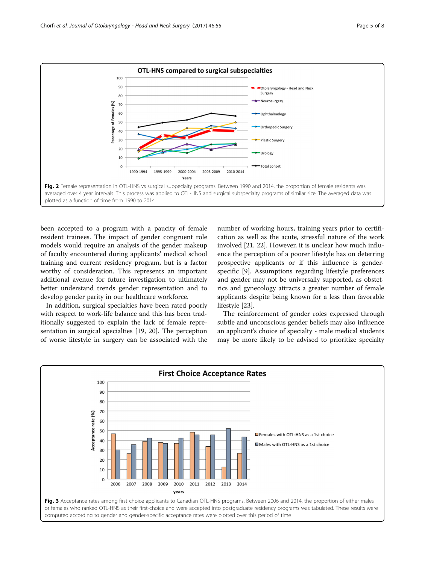<span id="page-4-0"></span>

been accepted to a program with a paucity of female resident trainees. The impact of gender congruent role models would require an analysis of the gender makeup of faculty encountered during applicants' medical school training and current residency program, but is a factor worthy of consideration. This represents an important additional avenue for future investigation to ultimately better understand trends gender representation and to develop gender parity in our healthcare workforce.

In addition, surgical specialties have been rated poorly with respect to work-life balance and this has been traditionally suggested to explain the lack of female representation in surgical specialties [[19, 20](#page-7-0)]. The perception of worse lifestyle in surgery can be associated with the

number of working hours, training years prior to certification as well as the acute, stressful nature of the work involved [\[21, 22\]](#page-7-0). However, it is unclear how much influence the perception of a poorer lifestyle has on deterring prospective applicants or if this influence is genderspecific [\[9](#page-7-0)]. Assumptions regarding lifestyle preferences and gender may not be universally supported, as obstetrics and gynecology attracts a greater number of female applicants despite being known for a less than favorable lifestyle [[23](#page-7-0)].

The reinforcement of gender roles expressed through subtle and unconscious gender beliefs may also influence an applicant's choice of specialty - male medical students may be more likely to be advised to prioritize specialty

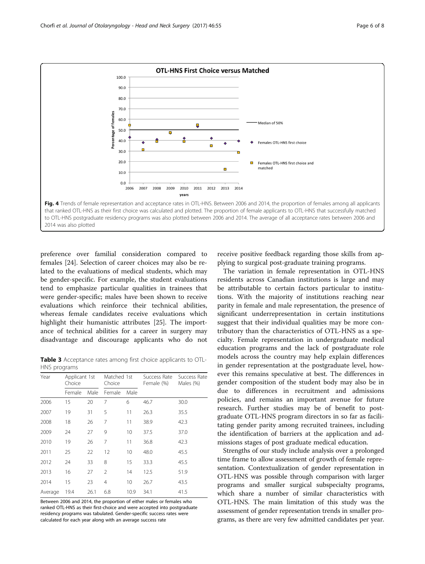<span id="page-5-0"></span>

preference over familial consideration compared to females [[24\]](#page-7-0). Selection of career choices may also be related to the evaluations of medical students, which may be gender-specific. For example, the student evaluations tend to emphasize particular qualities in trainees that were gender-specific; males have been shown to receive evaluations which reinforce their technical abilities, whereas female candidates receive evaluations which highlight their humanistic attributes [\[25](#page-7-0)]. The importance of technical abilities for a career in surgery may disadvantage and discourage applicants who do not

Table 3 Acceptance rates among first choice applicants to OTL-HNS programs

| Year    | Applicant 1st<br>Choice |      | Matched 1st<br>Choice |      | Success Rate<br>Female (%) | Success Rate<br>Males (%) |
|---------|-------------------------|------|-----------------------|------|----------------------------|---------------------------|
|         | Female                  | Male | Female                | Male |                            |                           |
| 2006    | 15                      | 20   | 7                     | 6    | 46.7                       | 30.0                      |
| 2007    | 19                      | 31   | 5                     | 11   | 26.3                       | 35.5                      |
| 2008    | 18                      | 26   | 7                     | 11   | 38.9                       | 42.3                      |
| 2009    | 24                      | 27   | 9                     | 10   | 37.5                       | 37.0                      |
| 2010    | 19                      | 26   | 7                     | 11   | 36.8                       | 42.3                      |
| 2011    | 25                      | 22   | 12                    | 10   | 48.0                       | 45.5                      |
| 2012    | 24                      | 33   | 8                     | 15   | 33.3                       | 45.5                      |
| 2013    | 16                      | 27   | $\mathfrak{D}$        | 14   | 12.5                       | 51.9                      |
| 2014    | 15                      | 23   | 4                     | 10   | 26.7                       | 43.5                      |
| Average | 19.4                    | 26.1 | 6.8                   | 10.9 | 34.1                       | 41.5                      |

Between 2006 and 2014, the proportion of either males or females who ranked OTL-HNS as their first-choice and were accepted into postgraduate residency programs was tabulated. Gender-specific success rates were calculated for each year along with an average success rate

receive positive feedback regarding those skills from applying to surgical post-graduate training programs.

The variation in female representation in OTL-HNS residents across Canadian institutions is large and may be attributable to certain factors particular to institutions. With the majority of institutions reaching near parity in female and male representation, the presence of significant underrepresentation in certain institutions suggest that their individual qualities may be more contributory than the characteristics of OTL-HNS as a specialty. Female representation in undergraduate medical education programs and the lack of postgraduate role models across the country may help explain differences in gender representation at the postgraduate level, however this remains speculative at best. The differences in gender composition of the student body may also be in due to differences in recruitment and admissions policies, and remains an important avenue for future research. Further studies may be of benefit to postgraduate OTL-HNS program directors in so far as facilitating gender parity among recruited trainees, including the identification of barriers at the application and admissions stages of post graduate medical education.

Strengths of our study include analysis over a prolonged time frame to allow assessment of growth of female representation. Contextualization of gender representation in OTL-HNS was possible through comparison with larger programs and smaller surgical subspecialty programs, which share a number of similar characteristics with OTL-HNS. The main limitation of this study was the assessment of gender representation trends in smaller programs, as there are very few admitted candidates per year.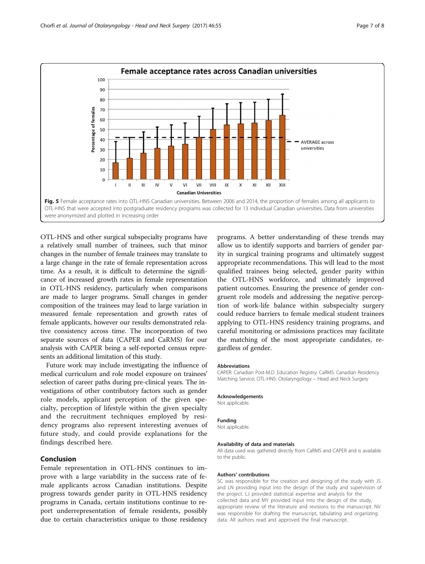<span id="page-6-0"></span>

OTL-HNS and other surgical subspecialty programs have a relatively small number of trainees, such that minor changes in the number of female trainees may translate to a large change in the rate of female representation across time. As a result, it is difficult to determine the significance of increased growth rates in female representation in OTL-HNS residency, particularly when comparisons are made to larger programs. Small changes in gender composition of the trainees may lead to large variation in measured female representation and growth rates of female applicants, however our results demonstrated relative consistency across time. The incorporation of two separate sources of data (CAPER and CaRMS) for our analysis with CAPER being a self-reported census represents an additional limitation of this study.

Future work may include investigating the influence of medical curriculum and role model exposure on trainees' selection of career paths during pre-clinical years. The investigations of other contributory factors such as gender role models, applicant perception of the given specialty, perception of lifestyle within the given specialty and the recruitment techniques employed by residency programs also represent interesting avenues of future study, and could provide explanations for the findings described here.

# Conclusion

Female representation in OTL-HNS continues to improve with a large variability in the success rate of female applicants across Canadian institutions. Despite progress towards gender parity in OTL-HNS residency programs in Canada, certain institutions continue to report underrepresentation of female residents, possibly due to certain characteristics unique to those residency

programs. A better understanding of these trends may allow us to identify supports and barriers of gender parity in surgical training programs and ultimately suggest appropriate recommendations. This will lead to the most qualified trainees being selected, gender parity within the OTL-HNS workforce, and ultimately improved patient outcomes. Ensuring the presence of gender congruent role models and addressing the negative perception of work-life balance within subspecialty surgery could reduce barriers to female medical student trainees applying to OTL-HNS residency training programs, and careful monitoring or admissions practices may facilitate the matching of the most appropriate candidates, regardless of gender.

#### Abbreviations

CAPER: Canadian Post-M.D. Education Registry; CaRMS: Canadian Residency Matching Service; OTL-HNS: Otolaryngology – Head and Neck Surgery

#### Acknowledgements

Not applicable.

#### Funding

Not applicable.

## Availability of data and materials

All data used was gathered directly from CaRMS and CAPER and is available to the public.

#### Authors' contributions

SC was responsible for the creation and designing of the study with JS and LN providing input into the design of the study and supervision of the project. LJ provided statistical expertise and analysis for the collected data and MY provided input into the design of the study, appropriate review of the literature and revisions to the manuscript. NV was responsible for drafting the manuscript, tabulating and organizing data. All authors read and approved the final manuscript.